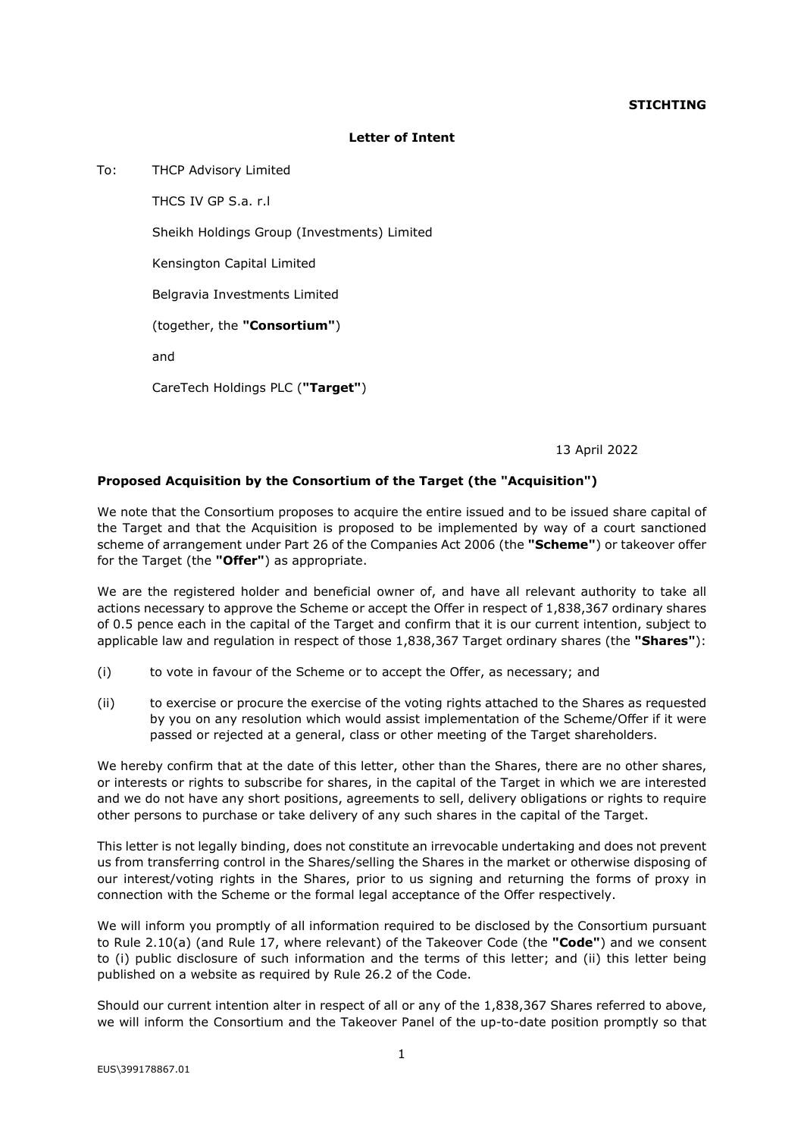## **STICHTING**

## **Letter of Intent**

To: THCP Advisory Limited

THCS IV GP S.a. r.l Sheikh Holdings Group (Investments) Limited Kensington Capital Limited Belgravia Investments Limited (together, the **"Consortium"**) and CareTech Holdings PLC (**"Target"**)

13 April 2022

## **Proposed Acquisition by the Consortium of the Target (the "Acquisition")**

We note that the Consortium proposes to acquire the entire issued and to be issued share capital of the Target and that the Acquisition is proposed to be implemented by way of a court sanctioned scheme of arrangement under Part 26 of the Companies Act 2006 (the **"Scheme"**) or takeover offer for the Target (the **"Offer"**) as appropriate.

We are the registered holder and beneficial owner of, and have all relevant authority to take all actions necessary to approve the Scheme or accept the Offer in respect of 1,838,367 ordinary shares of 0.5 pence each in the capital of the Target and confirm that it is our current intention, subject to applicable law and regulation in respect of those 1,838,367 Target ordinary shares (the **"Shares"**):

- (i) to vote in favour of the Scheme or to accept the Offer, as necessary; and
- (ii) to exercise or procure the exercise of the voting rights attached to the Shares as requested by you on any resolution which would assist implementation of the Scheme/Offer if it were passed or rejected at a general, class or other meeting of the Target shareholders.

We hereby confirm that at the date of this letter, other than the Shares, there are no other shares, or interests or rights to subscribe for shares, in the capital of the Target in which we are interested and we do not have any short positions, agreements to sell, delivery obligations or rights to require other persons to purchase or take delivery of any such shares in the capital of the Target.

This letter is not legally binding, does not constitute an irrevocable undertaking and does not prevent us from transferring control in the Shares/selling the Shares in the market or otherwise disposing of our interest/voting rights in the Shares, prior to us signing and returning the forms of proxy in connection with the Scheme or the formal legal acceptance of the Offer respectively.

We will inform you promptly of all information required to be disclosed by the Consortium pursuant to Rule 2.10(a) (and Rule 17, where relevant) of the Takeover Code (the **"Code"**) and we consent to (i) public disclosure of such information and the terms of this letter; and (ii) this letter being published on a website as required by Rule 26.2 of the Code.

Should our current intention alter in respect of all or any of the 1,838,367 Shares referred to above, we will inform the Consortium and the Takeover Panel of the up-to-date position promptly so that